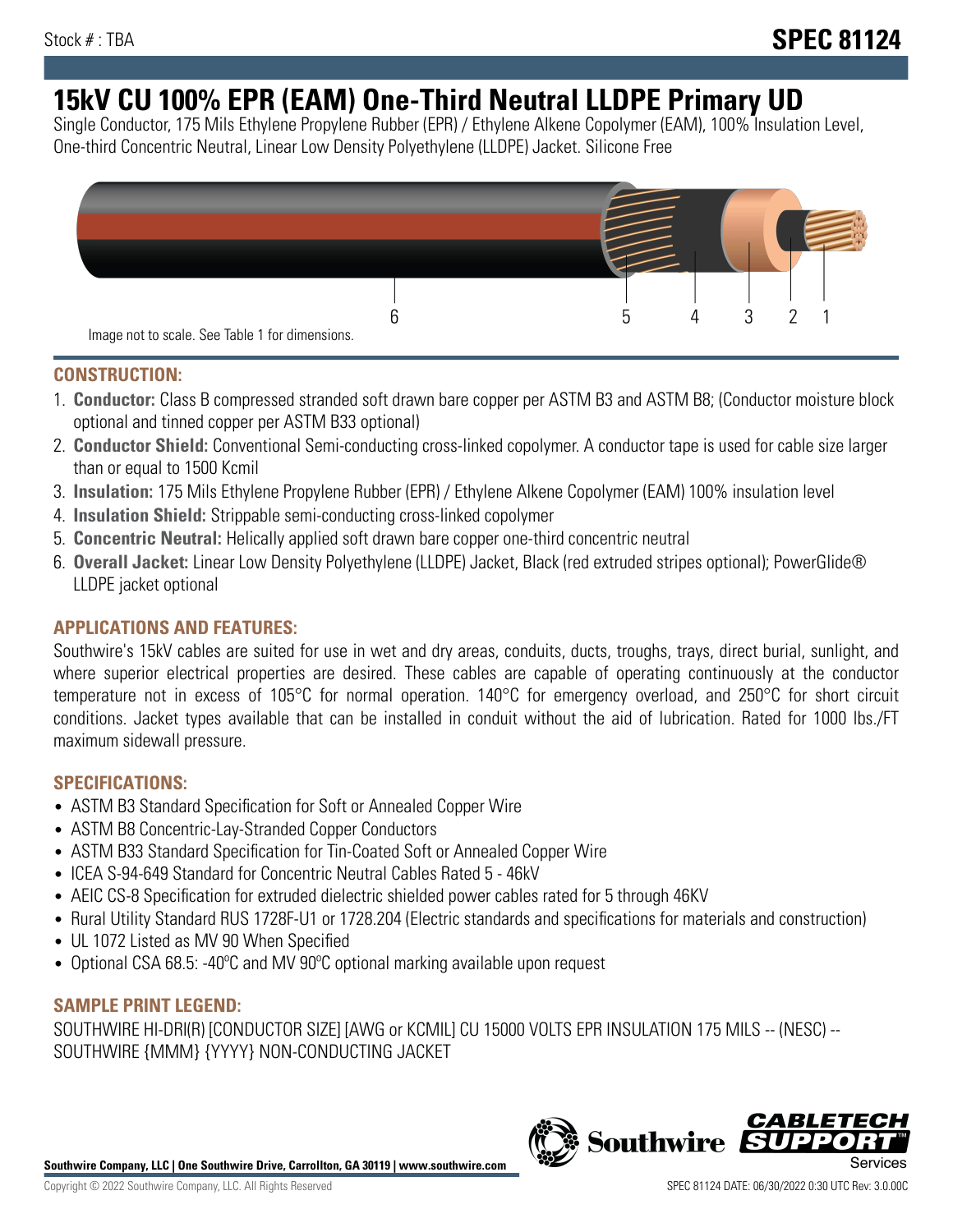# **15kV CU 100% EPR (EAM) One-Third Neutral LLDPE Primary UD**

Single Conductor, 175 Mils Ethylene Propylene Rubber (EPR) / Ethylene Alkene Copolymer (EAM), 100% Insulation Level, One-third Concentric Neutral, Linear Low Density Polyethylene (LLDPE) Jacket. Silicone Free



## **CONSTRUCTION:**

- 1. **Conductor:** Class B compressed stranded soft drawn bare copper per ASTM B3 and ASTM B8; (Conductor moisture block optional and tinned copper per ASTM B33 optional)
- 2. **Conductor Shield:** Conventional Semi-conducting cross-linked copolymer. A conductor tape is used for cable size larger than or equal to 1500 Kcmil
- 3. **Insulation:** 175 Mils Ethylene Propylene Rubber (EPR) / Ethylene Alkene Copolymer (EAM) 100% insulation level
- 4. **Insulation Shield:** Strippable semi-conducting cross-linked copolymer
- 5. **Concentric Neutral:** Helically applied soft drawn bare copper one-third concentric neutral
- 6. **Overall Jacket:** Linear Low Density Polyethylene (LLDPE) Jacket, Black (red extruded stripes optional); PowerGlide® LLDPE jacket optional

## **APPLICATIONS AND FEATURES:**

Southwire's 15kV cables are suited for use in wet and dry areas, conduits, ducts, troughs, trays, direct burial, sunlight, and where superior electrical properties are desired. These cables are capable of operating continuously at the conductor temperature not in excess of 105°C for normal operation. 140°C for emergency overload, and 250°C for short circuit conditions. Jacket types available that can be installed in conduit without the aid of lubrication. Rated for 1000 lbs./FT maximum sidewall pressure.

## **SPECIFICATIONS:**

- ASTM B3 Standard Specification for Soft or Annealed Copper Wire
- ASTM B8 Concentric-Lay-Stranded Copper Conductors
- ASTM B33 Standard Specification for Tin-Coated Soft or Annealed Copper Wire
- ICEA S-94-649 Standard for Concentric Neutral Cables Rated 5 46kV
- AEIC CS-8 Specification for extruded dielectric shielded power cables rated for 5 through 46KV
- Rural Utility Standard RUS 1728F-U1 or 1728.204 (Electric standards and specifications for materials and construction)
- UL 1072 Listed as MV 90 When Specified
- Optional CSA 68.5: -40°C and MV 90°C optional marking available upon request

# **SAMPLE PRINT LEGEND:**

SOUTHWIRE HI-DRI(R) [CONDUCTOR SIZE] [AWG or KCMIL] CU 15000 VOLTS EPR INSULATION 175 MILS -- (NESC) -- SOUTHWIRE {MMM} {YYYY} NON-CONDUCTING JACKET

**Southwire Company, LLC | One Southwire Drive, Carrollton, GA 30119 | www.southwire.com**